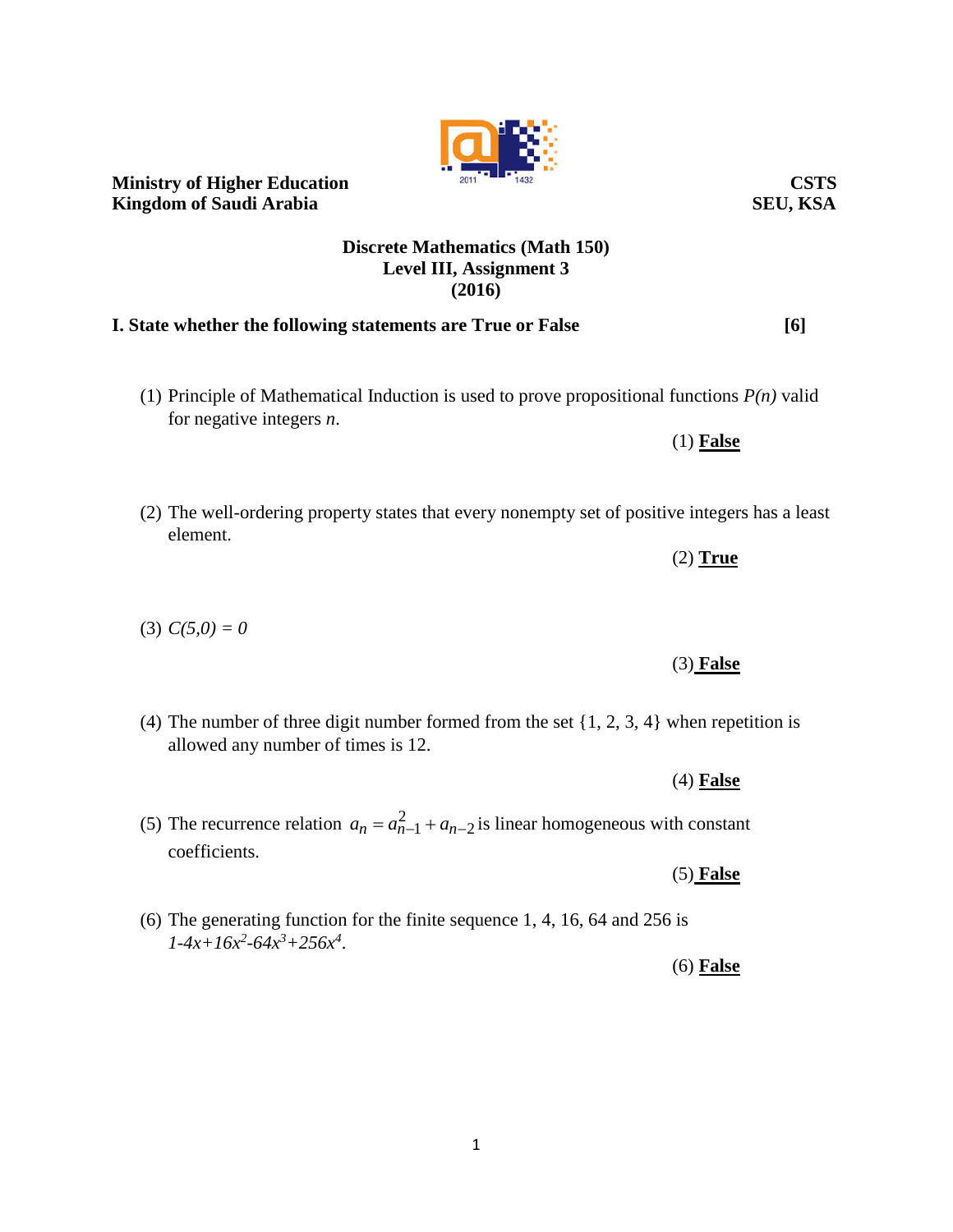# **Ministry of Higher Education** 2011 2011 1432 **Kingdom of Saudi Arabia** SEU, KSA

### **Discrete Mathematics (Math 150) Level III, Assignment 3 (2016)**

# **I. State whether the following statements are True or False [6]**

- (1) Principle of Mathematical Induction is used to prove propositional functions *P(n)* valid for negative integers *n*.
- (2) The well-ordering property states that every nonempty set of positive integers has a least element.
- (3)  $C(5,0) = 0$
- (4) The number of three digit number formed from the set {1, 2, 3, 4} when repetition is allowed any number of times is 12.
- (5) The recurrence relation  $a_n = a_{n-1}^2 + a_{n-2}$  $a_n = a_{n-1}^2 + a_{n-2}$  is linear homogeneous with constant coefficients.
- (6) The generating function for the finite sequence 1, 4, 16, 64 and 256 is  $1-4x+16x^2-64x^3+256x^4$ .

(3) **False**

(2) **True**

(1) **False**

(4) **False**

(5) **False**

# (6) **False**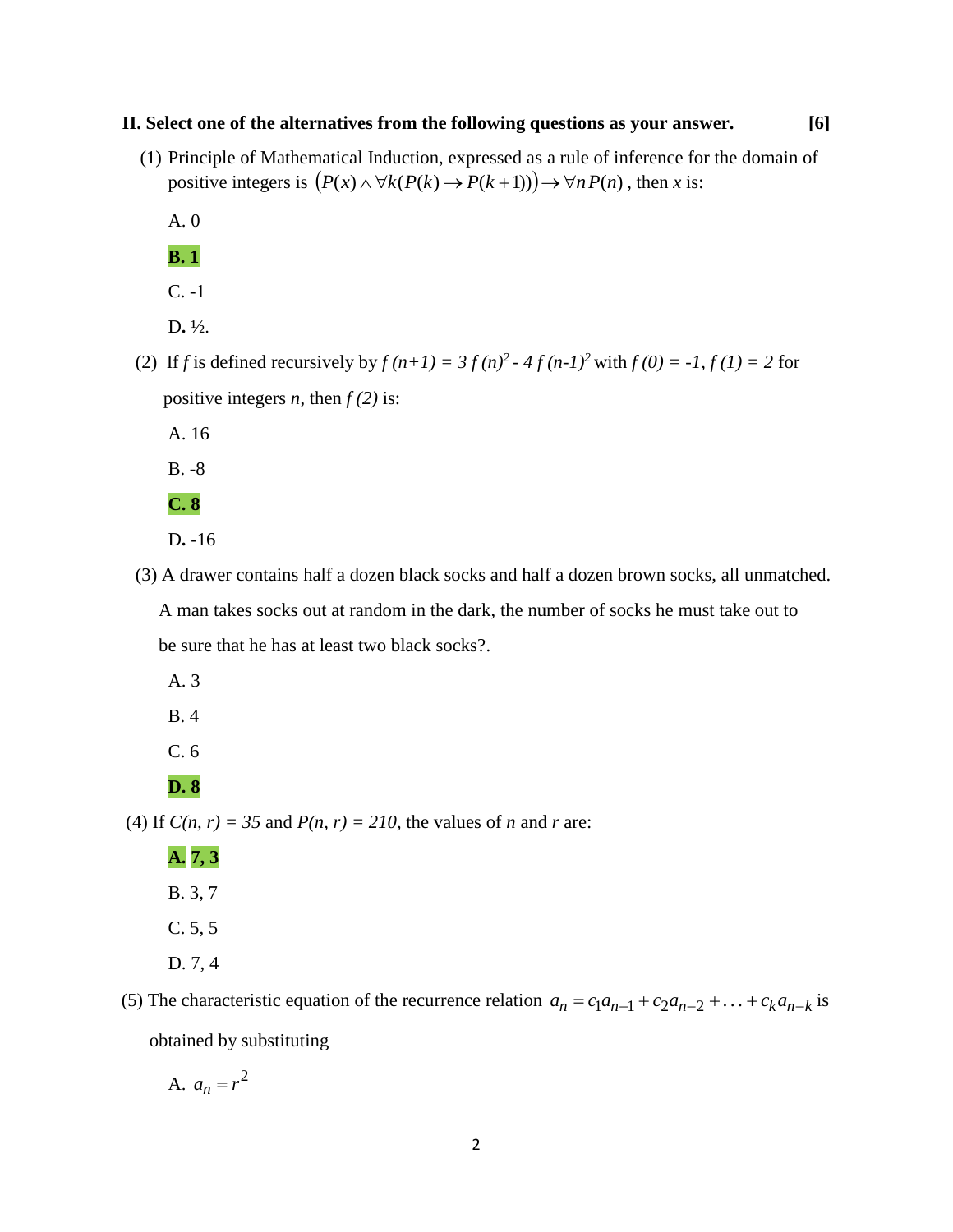#### **II. Select one of the alternatives from the following questions as your answer. [6]**

(1) Principle of Mathematical Induction, expressed as a rule of inference for the domain of positive integers is  $(P(x) \land \forall k(P(k) \rightarrow P(k+1))) \rightarrow \forall n P(n)$ , then *x* is:

A. 0

**B. 1**

- C. -1
- D**.** ½.
- (2) If *f* is defined recursively by  $f(n+1) = 3 f(n)^2 4 f(n-1)^2$  with  $f(0) = -1$ ,  $f(1) = 2$  for positive integers *n*, then  $f(2)$  is:

A. 16

B. -8

**C. 8**

D**.** -16

 (3) A drawer contains half a dozen black socks and half a dozen brown socks, all unmatched. A man takes socks out at random in the dark, the number of socks he must take out to

be sure that he has at least two black socks?.

A. 3

B. 4

C. 6

#### **D. 8**

(4) If  $C(n, r) = 35$  and  $P(n, r) = 210$ , the values of *n* and *r* are:

**A. 7, 3** B. 3, 7 C. 5, 5 D. 7, 4

(5) The characteristic equation of the recurrence relation  $a_n = c_1 a_{n-1} + c_2 a_{n-2} + \ldots + c_k a_{n-k}$  is obtained by substituting

A.  $a_n = r^2$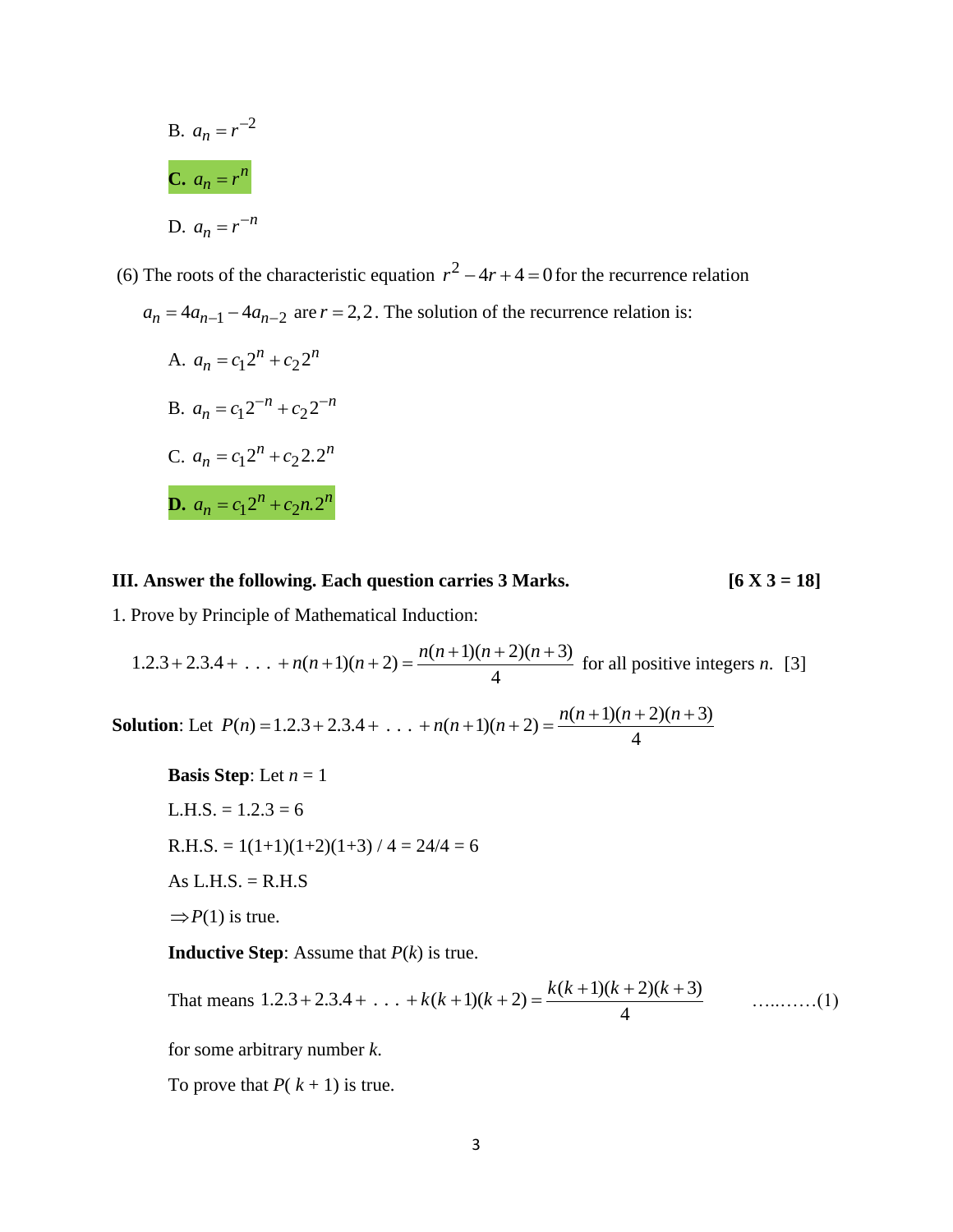B. 
$$
a_n = r^{-2}
$$
  
\nC.  $a_n = r^n$   
\nD.  $a_n = r^{-n}$ 

(6) The roots of the characteristic equation  $r^2 - 4r + 4 = 0$  for the recurrence relation  $a_n = 4a_{n-1} - 4a_{n-2}$  are  $r = 2, 2$ . The solution of the recurrence relation is:

A. 
$$
a_n = c_1 2^n + c_2 2^n
$$
  
\nB.  $a_n = c_1 2^{-n} + c_2 2^{-n}$   
\nC.  $a_n = c_1 2^n + c_2 2 \cdot 2^n$   
\nD.  $a_n = c_1 2^n + c_2 n \cdot 2^n$ 

#### **III. Answer the following. Each question carries 3 Marks. [6 X 3 = 18]**

1. Prove by Principle of Mathematical Induction:

1.2.3 + 2.3.4 + ... + 
$$
n(n+1)(n+2) = \frac{n(n+1)(n+2)(n+3)}{4}
$$
 for all positive integers *n*. [3]

**Solution**: Let 4  $P(n) = 1.2.3 + 2.3.4 + ... + n(n+1)(n+2) = \frac{n(n+1)(n+2)(n+3)}{2}$ 

**Basis Step**: Let  $n = 1$  $L.H.S. = 1.2.3 = 6$  $R.H.S. = 1(1+1)(1+2)(1+3) / 4 = 24/4 = 6$ As  $L.H.S. = R.H.S$  $\Rightarrow$  *P*(1) is true.

**Inductive Step**: Assume that *P*(*k*) is true.

That means 
$$
1.2.3 + 2.3.4 + ... + k(k+1)(k+2) = \frac{k(k+1)(k+2)(k+3)}{4}
$$
 .........(1)

for some arbitrary number *k*.

To prove that  $P(k + 1)$  is true.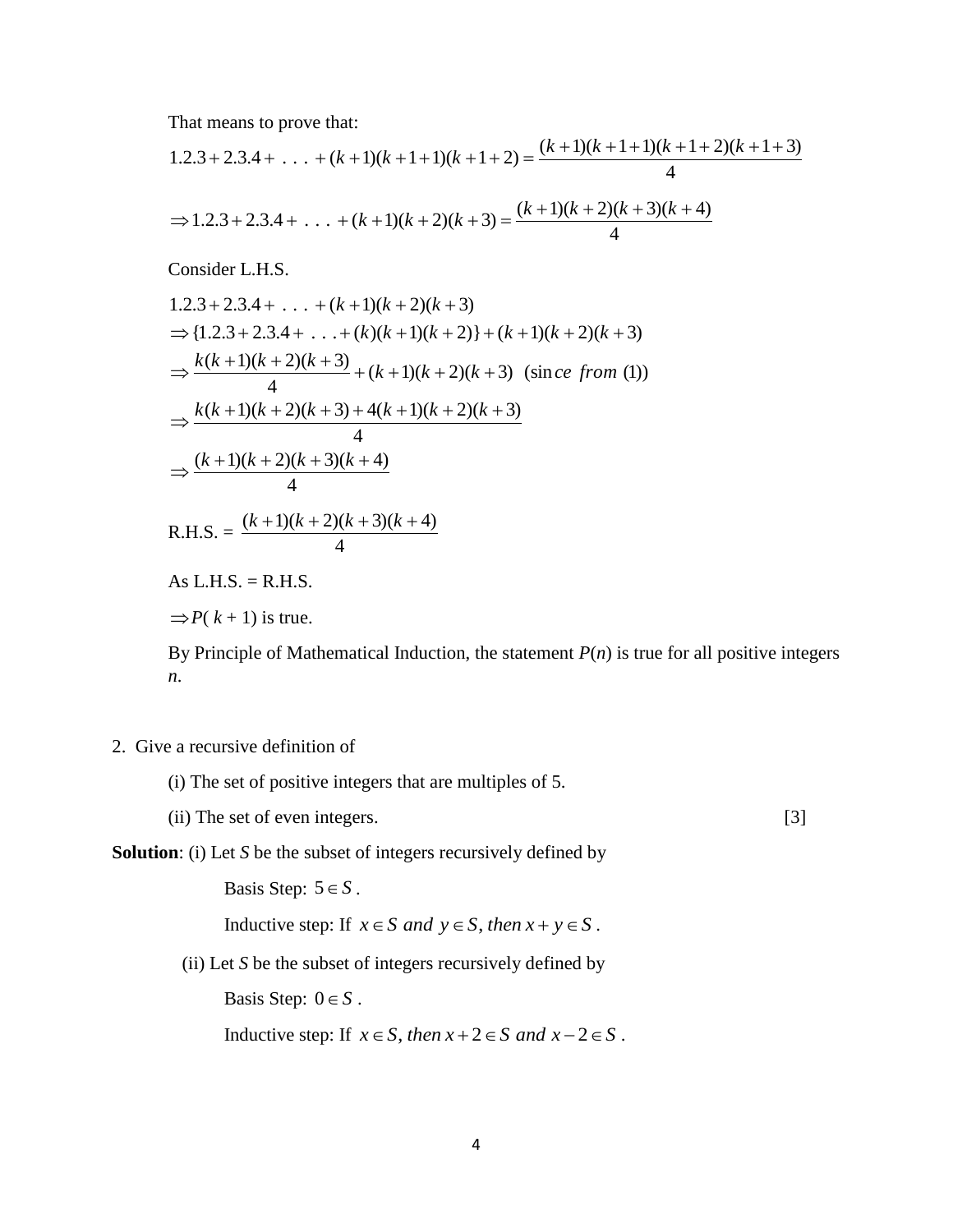That means to prove that:

$$
1.2.3 + 2.3.4 + \ldots + (k+1)(k+1+1)(k+1+2) = \frac{(k+1)(k+1+1)(k+1+2)(k+1+3)}{4}
$$
  
\n
$$
\Rightarrow 1.2.3 + 2.3.4 + \ldots + (k+1)(k+2)(k+3) = \frac{(k+1)(k+2)(k+3)(k+4)}{4}
$$

Consider L.H.S.

1.2.3 + 2.3.4 + ... + (k+1)(k+2)(k+3)  
\n⇒ {1.2.3 + 2.3.4 + ... + (k)(k+1)(k+2)} + (k+1)(k+2)(k+3)  
\n⇒ 
$$
\frac{k(k+1)(k+2)(k+3)}{4} + (k+1)(k+2)(k+3)
$$
 (sin *ce from* (1))  
\n⇒ 
$$
\frac{k(k+1)(k+2)(k+3) + 4(k+1)(k+2)(k+3)}{4}
$$
  
\n⇒ 
$$
\frac{(k+1)(k+2)(k+3)(k+4)}{4}
$$
  
\nR.H.S. = 
$$
\frac{(k+1)(k+2)(k+3)(k+4)}{4}
$$
  
\nAs L.H.S. = R.H.S.

 $\Rightarrow$  *P*( $k + 1$ ) is true.

By Principle of Mathematical Induction, the statement  $P(n)$  is true for all positive integers *n*.

## 2. Give a recursive definition of

(i) The set of positive integers that are multiples of 5.

(ii) The set of even integers. [3]

## **Solution**: (i) Let *S* be the subset of integers recursively defined by

Basis Step:  $5 \in S$ .

Inductive step: If  $x \in S$  *and*  $y \in S$ , *then*  $x + y \in S$ .

(ii) Let *S* be the subset of integers recursively defined by

Basis Step:  $0 \in S$ .

Inductive step: If  $x \in S$ , *then*  $x + 2 \in S$  *and*  $x - 2 \in S$ .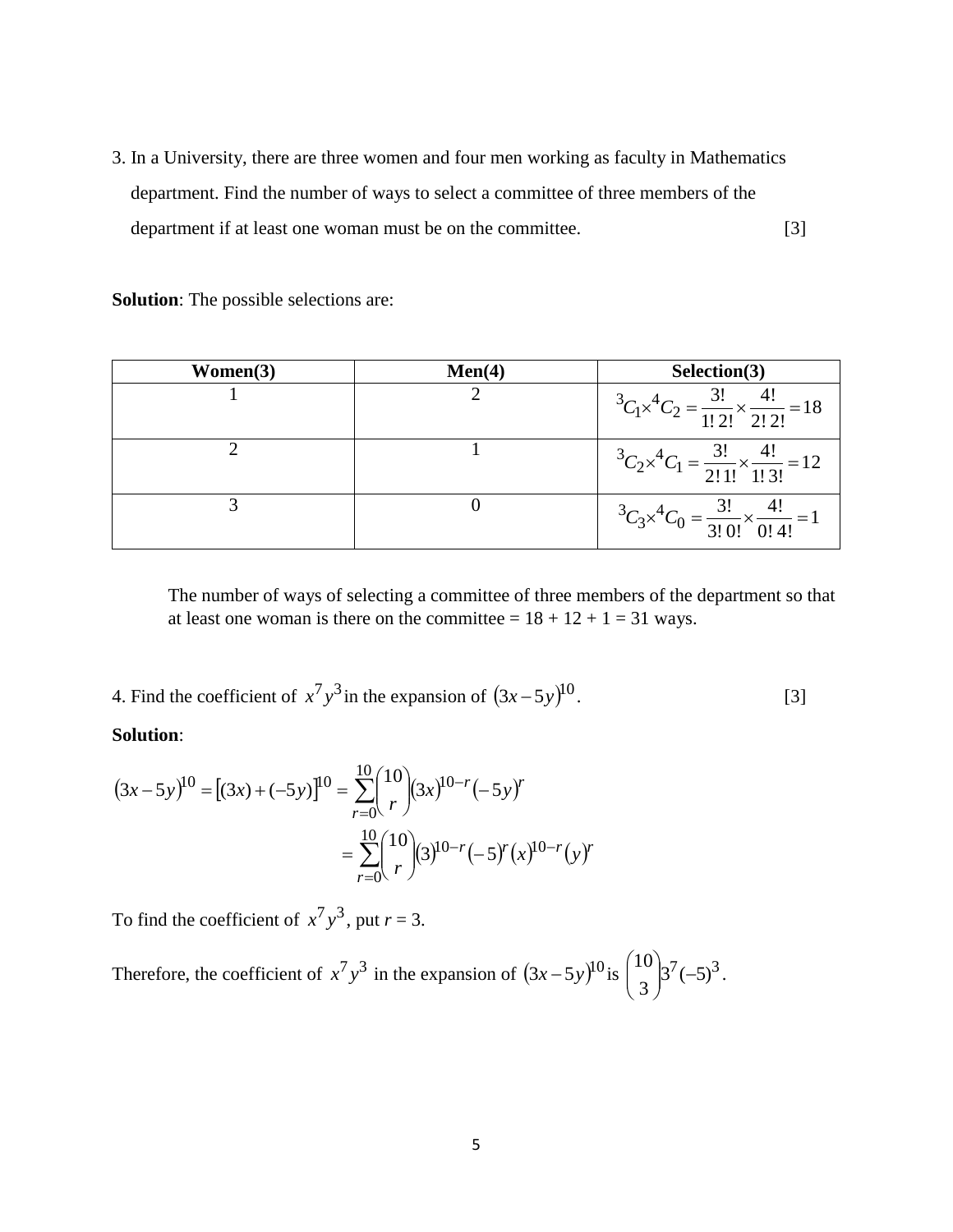3. In a University, there are three women and four men working as faculty in Mathematics department. Find the number of ways to select a committee of three members of the department if at least one woman must be on the committee. [3]

**Solution**: The possible selections are:

| Women(3) | Men(4) | Selection(3)                                                                          |
|----------|--------|---------------------------------------------------------------------------------------|
|          |        | ${}^3C_1\times {}^4C_2 = \frac{3!}{1! \, 2!} \times \frac{4!}{2! \, 2!} = 18$         |
|          |        | ${}^{3}C_{2}\times {}^{4}C_{1} = \frac{3!}{2! \, 1!} \times \frac{4!}{1! \, 3!} = 12$ |
|          |        | ${}^3C_3\times {}^4C_0 = \frac{3!}{3! \cdot 0!} \times \frac{4!}{0! \cdot 4!} = 1$    |

The number of ways of selecting a committee of three members of the department so that at least one woman is there on the committee =  $18 + 12 + 1 = 31$  ways.

4. Find the coefficient of  $x^7y^3$  in the expansion of  $(3x-5y)^{10}$ . [3]

**Solution**:

$$
(3x-5y)^{10} = [(3x) + (-5y)]^{10} = \sum_{r=0}^{10} {10 \choose r} (3x)^{10-r} (-5y)^r
$$
  
= 
$$
\sum_{r=0}^{10} {10 \choose r} (3)^{10-r} (-5)^r (x)^{10-r} (y)^r
$$

To find the coefficient of  $x^7y^3$ , put  $r = 3$ .

Therefore, the coefficient of  $x^7y^3$  in the expansion of  $(3x-5y)^{10}$  is  $\begin{bmatrix} 1 & 0 \\ 0 & 3^7 \end{bmatrix}$   $(5)^3$ 3 10  $3^{\prime}$  (-J  $\backslash$  $\overline{\phantom{a}}$  $\setminus$ ſ .